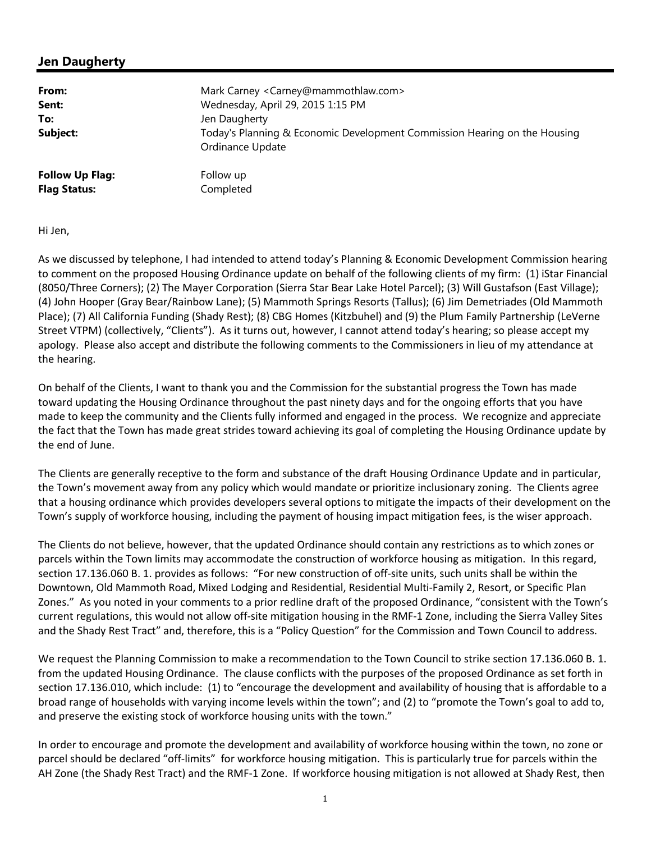## **Jen Daugherty**

| From:                  | Mark Carney <carney@mammothlaw.com></carney@mammothlaw.com>               |
|------------------------|---------------------------------------------------------------------------|
| Sent:                  | Wednesday, April 29, 2015 1:15 PM                                         |
| To:                    | Jen Daugherty                                                             |
| Subject:               | Today's Planning & Economic Development Commission Hearing on the Housing |
|                        | Ordinance Update                                                          |
| <b>Follow Up Flag:</b> | Follow up                                                                 |
| <b>Flag Status:</b>    | Completed                                                                 |

Hi Jen,

As we discussed by telephone, I had intended to attend today's Planning & Economic Development Commission hearing to comment on the proposed Housing Ordinance update on behalf of the following clients of my firm: (1) iStar Financial (8050/Three Corners); (2) The Mayer Corporation (Sierra Star Bear Lake Hotel Parcel); (3) Will Gustafson (East Village); (4) John Hooper (Gray Bear/Rainbow Lane); (5) Mammoth Springs Resorts (Tallus); (6) Jim Demetriades (Old Mammoth Place); (7) All California Funding (Shady Rest); (8) CBG Homes (Kitzbuhel) and (9) the Plum Family Partnership (LeVerne Street VTPM) (collectively, "Clients"). As it turns out, however, I cannot attend today's hearing; so please accept my apology. Please also accept and distribute the following comments to the Commissioners in lieu of my attendance at the hearing.

On behalf of the Clients, I want to thank you and the Commission for the substantial progress the Town has made toward updating the Housing Ordinance throughout the past ninety days and for the ongoing efforts that you have made to keep the community and the Clients fully informed and engaged in the process. We recognize and appreciate the fact that the Town has made great strides toward achieving its goal of completing the Housing Ordinance update by the end of June.

The Clients are generally receptive to the form and substance of the draft Housing Ordinance Update and in particular, the Town's movement away from any policy which would mandate or prioritize inclusionary zoning. The Clients agree that a housing ordinance which provides developers several options to mitigate the impacts of their development on the Town's supply of workforce housing, including the payment of housing impact mitigation fees, is the wiser approach.

The Clients do not believe, however, that the updated Ordinance should contain any restrictions as to which zones or parcels within the Town limits may accommodate the construction of workforce housing as mitigation. In this regard, section 17.136.060 B. 1. provides as follows: "For new construction of off-site units, such units shall be within the Downtown, Old Mammoth Road, Mixed Lodging and Residential, Residential Multi-Family 2, Resort, or Specific Plan Zones." As you noted in your comments to a prior redline draft of the proposed Ordinance, "consistent with the Town's current regulations, this would not allow off-site mitigation housing in the RMF-1 Zone, including the Sierra Valley Sites and the Shady Rest Tract" and, therefore, this is a "Policy Question" for the Commission and Town Council to address.

We request the Planning Commission to make a recommendation to the Town Council to strike section 17.136.060 B. 1. from the updated Housing Ordinance. The clause conflicts with the purposes of the proposed Ordinance as set forth in section 17.136.010, which include: (1) to "encourage the development and availability of housing that is affordable to a broad range of households with varying income levels within the town"; and (2) to "promote the Town's goal to add to, and preserve the existing stock of workforce housing units with the town."

In order to encourage and promote the development and availability of workforce housing within the town, no zone or parcel should be declared "off-limits" for workforce housing mitigation. This is particularly true for parcels within the AH Zone (the Shady Rest Tract) and the RMF-1 Zone. If workforce housing mitigation is not allowed at Shady Rest, then